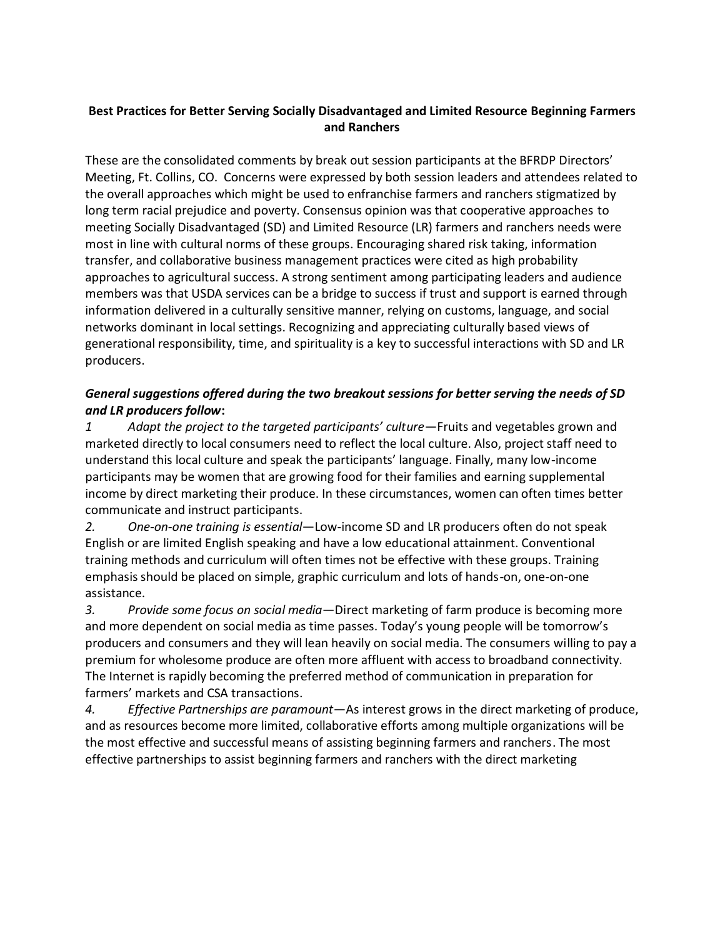## **Best Practices for Better Serving Socially Disadvantaged and Limited Resource Beginning Farmers and Ranchers**

These are the consolidated comments by break out session participants at the BFRDP Directors' Meeting, Ft. Collins, CO.Concerns were expressed by both session leaders and attendees related to the overall approaches which might be used to enfranchise farmers and ranchers stigmatized by long term racial prejudice and poverty. Consensus opinion was that cooperative approaches to meeting Socially Disadvantaged (SD) and Limited Resource (LR) farmers and ranchers needs were most in line with cultural norms of these groups. Encouraging shared risk taking, information transfer, and collaborative business management practices were cited as high probability approaches to agricultural success. A strong sentiment among participating leaders and audience members was that USDA services can be a bridge to success if trust and support is earned through information delivered in a culturally sensitive manner, relying on customs, language, and social networks dominant in local settings. Recognizing and appreciating culturally based views of generational responsibility, time, and spirituality is a key to successful interactions with SD and LR producers.

## *General suggestions offered during the two breakout sessions for better serving the needs of SD and LR producers follow***:**

*1 Adapt the project to the targeted participants' culture*—Fruits and vegetables grown and marketed directly to local consumers need to reflect the local culture. Also, project staff need to understand this local culture and speak the participants' language. Finally, many low-income participants may be women that are growing food for their families and earning supplemental income by direct marketing their produce. In these circumstances, women can often times better communicate and instruct participants.

*2. One-on-one training is essential*—Low-income SD and LR producers often do not speak English or are limited English speaking and have a low educational attainment. Conventional training methods and curriculum will often times not be effective with these groups. Training emphasis should be placed on simple, graphic curriculum and lots of hands-on, one-on-one assistance.

*3. Provide some focus on social media*—Direct marketing of farm produce is becoming more and more dependent on social media as time passes. Today's young people will be tomorrow's producers and consumers and they will lean heavily on social media. The consumers willing to pay a premium for wholesome produce are often more affluent with access to broadband connectivity. The Internet is rapidly becoming the preferred method of communication in preparation for farmers' markets and CSA transactions.

*4. Effective Partnerships are paramount*—As interest grows in the direct marketing of produce, and as resources become more limited, collaborative efforts among multiple organizations will be the most effective and successful means of assisting beginning farmers and ranchers. The most effective partnerships to assist beginning farmers and ranchers with the direct marketing